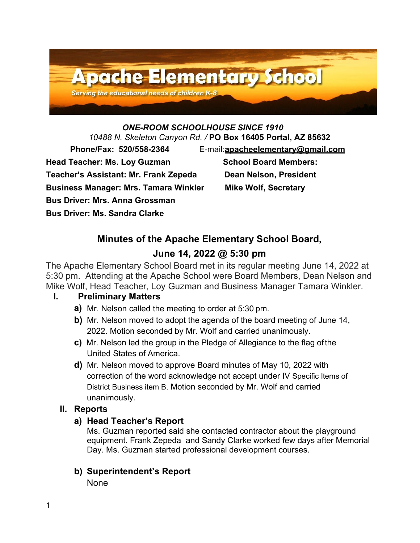

# *ONE-ROOM SCHOOLHOUSE SINCE 1910*

*10488 N. Skeleton Canyon Rd. /* **PO Box 16405 Portal, AZ 85632**

**Teacher's Assistant: Mr. Frank Zepeda Dean Nelson, President**

**Business Manager: Mrs. Tamara Winkler Mike Wolf, Secretary**

**Bus Driver: Mrs. Anna Grossman** 

**Bus Driver: Ms. Sandra Clarke** 

 **Phone/Fax: 520/558-2364** E-mail:**[apacheelementary@gmail.com](mailto:apacheelementary@gmail.com)**

Head Teacher: Ms. Loy Guzman School Board Members:

# **Minutes of the Apache Elementary School Board,**

# **June 14, 2022 @ 5:30 pm**

The Apache Elementary School Board met in its regular meeting June 14, 2022 at 5:30 pm. Attending at the Apache School were Board Members, Dean Nelson and Mike Wolf, Head Teacher, Loy Guzman and Business Manager Tamara Winkler.

# **I. Preliminary Matters**

- **a)** Mr. Nelson called the meeting to order at 5:30 pm.
- **b)** Mr. Nelson moved to adopt the agenda of the board meeting of June 14, 2022. Motion seconded by Mr. Wolf and carried unanimously.
- **c)** Mr. Nelson led the group in the Pledge of Allegiance to the flag ofthe United States of America.
- **d)** Mr. Nelson moved to approve Board minutes of May 10, 2022 with correction of the word acknowledge not accept under IV Specific Items of District Business item B. Motion seconded by Mr. Wolf and carried unanimously.

# **II. Reports**

# **a) Head Teacher's Report**

Ms. Guzman reported said she contacted contractor about the playground equipment. Frank Zepeda and Sandy Clarke worked few days after Memorial Day. Ms. Guzman started professional development courses.

# **b) Superintendent's Report**

None